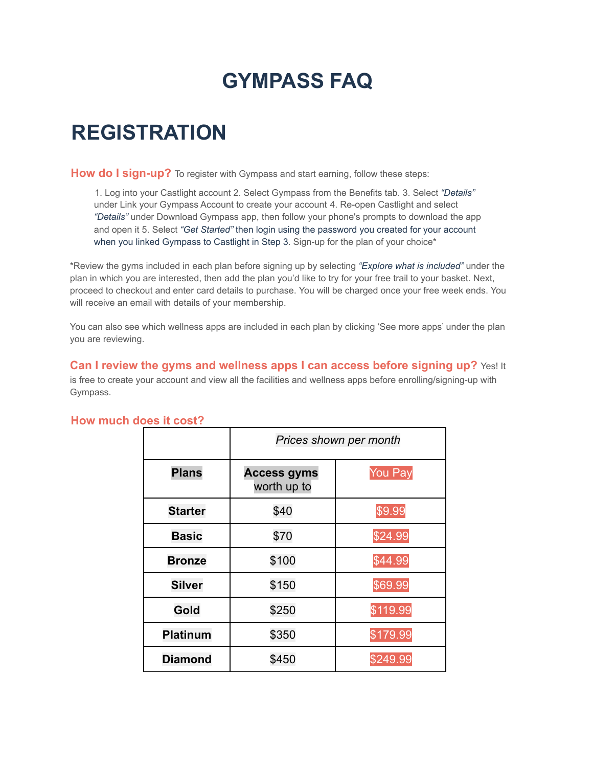# **GYMPASS FAQ**

## **REGISTRATION**

**How do I sign-up?** To register with Gympass and start earning, follow these steps:

1. Log into your Castlight account 2. Select Gympass from the Benefits tab. 3. Select *"Details"* under Link your Gympass Account to create your account 4. Re-open Castlight and select *"Details"* under Download Gympass app, then follow your phone's prompts to download the app and open it 5. Select *"Get Started"* then login using the password you created for your account when you linked Gympass to Castlight in Step 3. Sign-up for the plan of your choice\*

\*Review the gyms included in each plan before signing up by selecting *"Explore what is included"* under the plan in which you are interested, then add the plan you'd like to try for your free trail to your basket. Next, proceed to checkout and enter card details to purchase. You will be charged once your free week ends. You will receive an email with details of your membership.

You can also see which wellness apps are included in each plan by clicking 'See more apps' under the plan you are reviewing.

**Can I review the gyms and wellness apps I can access before signing up?** Yes! It is free to create your account and view all the facilities and wellness apps before enrolling/signing-up with Gympass.

|                 | Prices shown per month            |                |
|-----------------|-----------------------------------|----------------|
| <b>Plans</b>    | <b>Access gyms</b><br>worth up to | <b>You Pay</b> |
| <b>Starter</b>  | \$40                              | \$9.99         |
| <b>Basic</b>    | \$70                              | \$24.99        |
| <b>Bronze</b>   | \$100                             | \$44.99        |
| <b>Silver</b>   | \$150                             | \$69.99        |
| Gold            | \$250                             | \$119.99       |
| <b>Platinum</b> | \$350                             | \$179.99       |
| <b>Diamond</b>  | \$450                             | \$249.99       |

#### **How much does it cost?**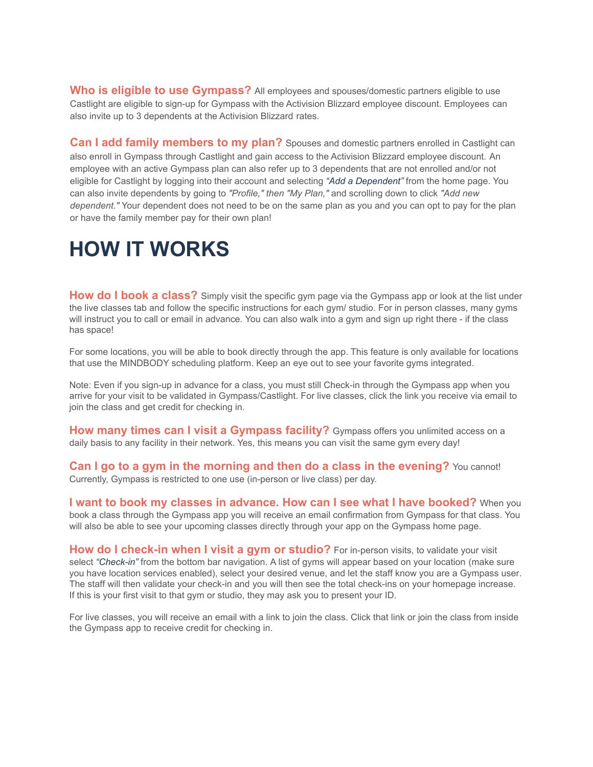**Who is eligible to use Gympass?** All employees and spouses/domestic partners eligible to use Castlight are eligible to sign-up for Gympass with the Activision Blizzard employee discount. Employees can also invite up to 3 dependents at the Activision Blizzard rates.

**Can I add family members to my plan?** Spouses and domestic partners enrolled in Castlight can also enroll in Gympass through Castlight and gain access to the Activision Blizzard employee discount. An employee with an active Gympass plan can also refer up to 3 dependents that are not enrolled and/or not eligible for Castlight by logging into their account and selecting *"Add a Dependent"* from the home page. You can also invite dependents by going to *"Profile," then "My Plan,"* and scrolling down to click *"Add new dependent."* Your dependent does not need to be on the same plan as you and you can opt to pay for the plan or have the family member pay for their own plan!

## **HOW IT WORKS**

**How do I book a class?** Simply visit the specific gym page via the Gympass app or look at the list under the live classes tab and follow the specific instructions for each gym/ studio. For in person classes, many gyms will instruct you to call or email in advance. You can also walk into a gym and sign up right there - if the class has space!

For some locations, you will be able to book directly through the app. This feature is only available for locations that use the MINDBODY scheduling platform. Keep an eye out to see your favorite gyms integrated.

Note: Even if you sign-up in advance for a class, you must still Check-in through the Gympass app when you arrive for your visit to be validated in Gympass/Castlight. For live classes, click the link you receive via email to join the class and get credit for checking in.

**How many times can I visit a Gympass facility?** Gympass offers you unlimited access on a daily basis to any facility in their network. Yes, this means you can visit the same gym every day!

**Can I go to a gym in the morning and then do a class in the evening?** You cannot! Currently, Gympass is restricted to one use (in-person or live class) per day.

**I want to book my classes in advance. How can I see what I have booked?** When you book a class through the Gympass app you will receive an email confirmation from Gympass for that class. You will also be able to see your upcoming classes directly through your app on the Gympass home page.

**How do I check-in when I visit a gym or studio?** For in-person visits, to validate your visit select *"Check-in"* from the bottom bar navigation. A list of gyms will appear based on your location (make sure you have location services enabled), select your desired venue, and let the staff know you are a Gympass user. The staff will then validate your check-in and you will then see the total check-ins on your homepage increase. If this is your first visit to that gym or studio, they may ask you to present your ID.

For live classes, you will receive an email with a link to join the class. Click that link or join the class from inside the Gympass app to receive credit for checking in.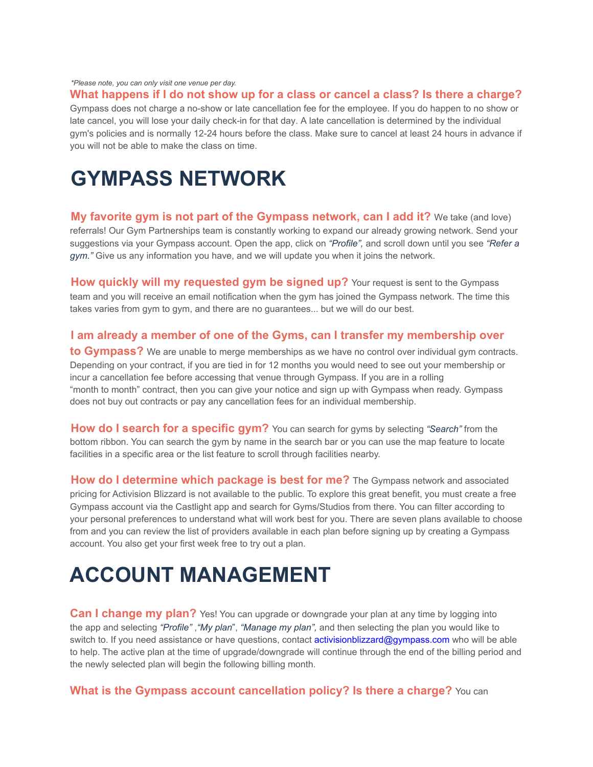*\*Please note, you can only visit one venue per day.*

**What happens if I do not show up for a class or cancel a class? Is there a charge?**

Gympass does not charge a no-show or late cancellation fee for the employee. If you do happen to no show or late cancel, you will lose your daily check-in for that day. A late cancellation is determined by the individual gym's policies and is normally 12-24 hours before the class. Make sure to cancel at least 24 hours in advance if you will not be able to make the class on time.

### **GYMPASS NETWORK**

**My favorite gym is not part of the Gympass network, can I add it?** We take (and love) referrals! Our Gym Partnerships team is constantly working to expand our already growing network. Send your suggestions via your Gympass account. Open the app, click on *"Profile",* and scroll down until you see *"Refer a gym."* Give us any information you have, and we will update you when it joins the network.

**How quickly will my requested gym be signed up?** Your request is sent to the Gympass team and you will receive an email notification when the gym has joined the Gympass network. The time this takes varies from gym to gym, and there are no guarantees... but we will do our best.

#### **I am already a member of one of the Gyms, can I transfer my membership over**

**to Gympass?** We are unable to merge memberships as we have no control over individual gym contracts. Depending on your contract, if you are tied in for 12 months you would need to see out your membership or incur a cancellation fee before accessing that venue through Gympass. If you are in a rolling "month to month" contract, then you can give your notice and sign up with Gympass when ready. Gympass does not buy out contracts or pay any cancellation fees for an individual membership.

**How do I search for a specific gym?** You can search for gyms by selecting *"Search"* from the bottom ribbon. You can search the gym by name in the search bar or you can use the map feature to locate facilities in a specific area or the list feature to scroll through facilities nearby.

**How do I determine which package is best for me?** The Gympass network and associated pricing for Activision Blizzard is not available to the public. To explore this great benefit, you must create a free Gympass account via the Castlight app and search for Gyms/Studios from there. You can filter according to your personal preferences to understand what will work best for you. There are seven plans available to choose from and you can review the list of providers available in each plan before signing up by creating a Gympass account. You also get your first week free to try out a plan.

## **ACCOUNT MANAGEMENT**

**Can I change my plan?** Yes! You can upgrade or downgrade your plan at any time by logging into the app and selecting *"Profile"* ,*"My plan*", *"Manage my plan",* and then selecting the plan you would like to switch to. If you need assistance or have questions, contact activisionblizzard@gympass.com who will be able to help. The active plan at the time of upgrade/downgrade will continue through the end of the billing period and the newly selected plan will begin the following billing month.

#### **What is the Gympass account cancellation policy? Is there a charge?** You can